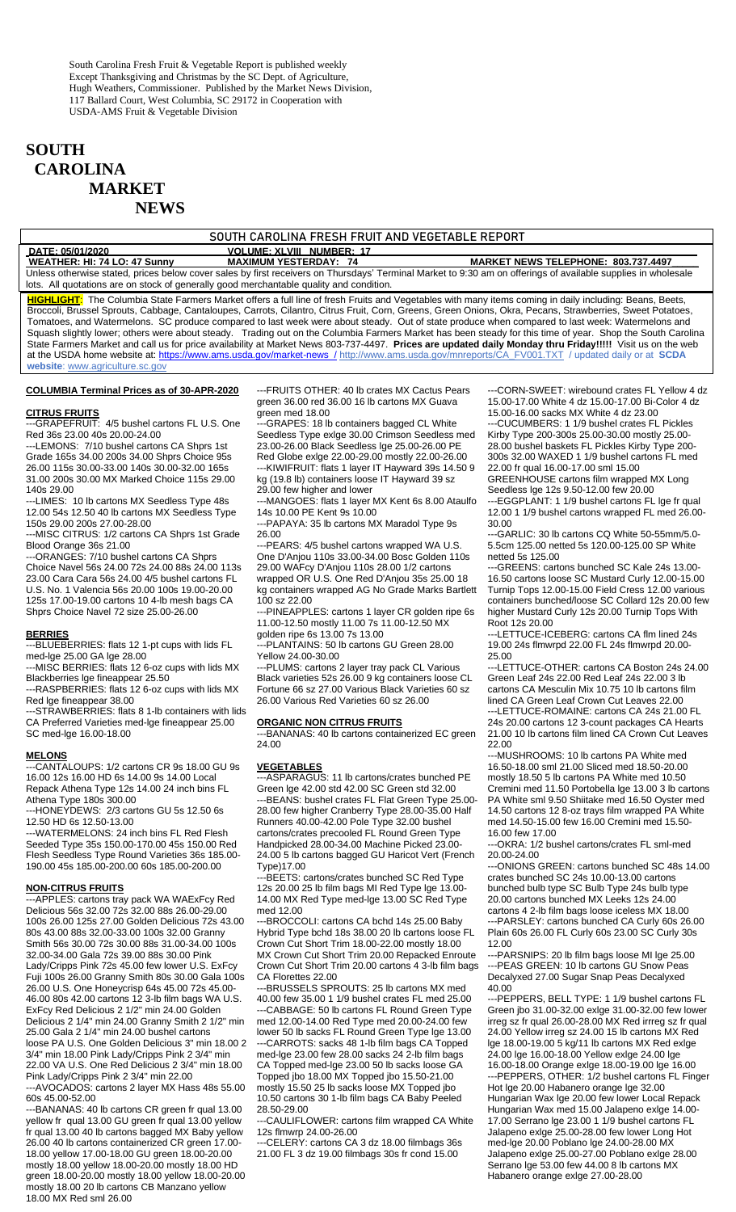# **SOUTH CAROLINA MARKET NEWS**

#### SOUTH CAROLINA FRESH FRUIT AND VEGETABLE REPORT

| DATE: 05/01/2020                                                                        | <b>VOLUME: XLVIII NUMBER: 17</b> |                                                                                                                                                               |
|-----------------------------------------------------------------------------------------|----------------------------------|---------------------------------------------------------------------------------------------------------------------------------------------------------------|
| WEATHER: HI: 74 LO: 47 Sunny                                                            | <b>MAXIMUM YESTERDAY: 74</b>     | <b>MARKET NEWS TELEPHONE: 803.737.4497</b>                                                                                                                    |
|                                                                                         |                                  | Unless otherwise stated, prices below cover sales by first receivers on Thursdays' Terminal Market to 9:30 am on offerings of available supplies in wholesale |
| lots. All quotations are on stock of generally good merchantable quality and condition. |                                  |                                                                                                                                                               |

**HIGHLIGHT**: The Columbia State Farmers Market offers a full line of fresh Fruits and Vegetables with many items coming in daily including: Beans, Beets, Broccoli, Brussel Sprouts, Cabbage, Cantaloupes, Carrots, Cilantro, Citrus Fruit, Corn, Greens, Green Onions, Okra, Pecans, Strawberries, Sweet Potatoes, Tomatoes, and Watermelons. SC produce compared to last week were about steady. Out of state produce when compared to last week: Watermelons and Squash slightly lower; others were about steady. Trading out on the Columbia Farmers Market has been steady for this time of year. Shop the South Carolina State Farmers Market and call us for price availability at Market News 803-737-4497. **Prices are updated daily Monday thru Friday!!!!!** Visit us on the web at the USDA home website at: [https://www.ams.usda.gov/market-news](https://www.ams.usda.gov/market-news%20%20/) / [http://www.ams.usda.gov/mnreports/CA\\_FV001.TXT](http://www.ams.usda.gov/mnreports/CA_FV001.TXT) / updated daily or at **SCDA website**: [www.agriculture.sc.gov](http://www.agriculture.sc.gov/) 

#### **COLUMBIA Terminal Prices as of 30-APR-2020**

#### **CITRUS FRUITS**

-GRAPEFRUIT: 4/5 bushel cartons FL U.S. One Red 36s 23.00 40s 20.00-24.00

---LEMONS: 7/10 bushel cartons CA Shprs 1st Grade 165s 34.00 200s 34.00 Shprs Choice 95s 26.00 115s 30.00-33.00 140s 30.00-32.00 165s 31.00 200s 30.00 MX Marked Choice 115s 29.00 140s 29.00

---LIMES: 10 lb cartons MX Seedless Type 48s 12.00 54s 12.50 40 lb cartons MX Seedless Type 150s 29.00 200s 27.00-28.00

---MISC CITRUS: 1/2 cartons CA Shprs 1st Grade Blood Orange 36s 21.00

---ORANGES: 7/10 bushel cartons CA Shprs Choice Navel 56s 24.00 72s 24.00 88s 24.00 113s 23.00 Cara Cara 56s 24.00 4/5 bushel cartons FL U.S. No. 1 Valencia 56s 20.00 100s 19.00-20.00 125s 17.00-19.00 cartons 10 4-lb mesh bags CA Shprs Choice Navel 72 size 25.00-26.00

### **BERRIES**

--BLUEBERRIES: flats 12 1-pt cups with lids FL med-lge 25.00 GA lge 28.00

---MISC BERRIES: flats 12 6-oz cups with lids MX Blackberries lge fineappear 25.50

---RASPBERRIES: flats 12 6-oz cups with lids MX Red lge fineappear 38.00

---STRAWBERRIES: flats 8 1-lb containers with lids CA Preferred Varieties med-lge fineappear 25.00 SC med-lge 16.00-18.00

#### **MELONS**

---CANTALOUPS: 1/2 cartons CR 9s 18.00 GU 9s 16.00 12s 16.00 HD 6s 14.00 9s 14.00 Local Repack Athena Type 12s 14.00 24 inch bins FL Athena Type 180s 300.00

---HONEYDEWS: 2/3 cartons GU 5s 12.50 6s 12.50 HD 6s 12.50-13.00

---WATERMELONS: 24 inch bins FL Red Flesh Seeded Type 35s 150.00-170.00 45s 150.00 Red Flesh Seedless Type Round Varieties 36s 185.00- 190.00 45s 185.00-200.00 60s 185.00-200.00

### **NON-CITRUS FRUITS**

---APPLES: cartons tray pack WA WAExFcy Red Delicious 56s 32.00 72s 32.00 88s 26.00-29.00 100s 26.00 125s 27.00 Golden Delicious 72s 43.00 80s 43.00 88s 32.00-33.00 100s 32.00 Granny Smith 56s 30.00 72s 30.00 88s 31.00-34.00 100s 32.00-34.00 Gala 72s 39.00 88s 30.00 Pink Lady/Cripps Pink 72s 45.00 few lower U.S. ExFcy Fuji 100s 26.00 Granny Smith 80s 30.00 Gala 100s 26.00 U.S. One Honeycrisp 64s 45.00 72s 45.00- 46.00 80s 42.00 cartons 12 3-lb film bags WA U.S. ExFcy Red Delicious 2 1/2" min 24.00 Golden Delicious 2 1/4" min 24.00 Granny Smith 2 1/2" min 25.00 Gala 2 1/4" min 24.00 bushel cartons loose PA U.S. One Golden Delicious 3" min 18.00 2 3/4" min 18.00 Pink Lady/Cripps Pink 2 3/4" min 22.00 VA U.S. One Red Delicious 2 3/4" min 18.00 Pink Lady/Cripps Pink 2 3/4" min 22.00

---AVOCADOS: cartons 2 layer MX Hass 48s 55.00 60s 45.00-52.00

---BANANAS: 40 lb cartons CR green fr qual 13.00 yellow fr qual 13.00 GU green fr qual 13.00 yellow fr qual 13.00 40 lb cartons bagged MX Baby yellow 26.00 40 lb cartons containerized CR green 17.00- 18.00 yellow 17.00-18.00 GU green 18.00-20.00 mostly 18.00 yellow 18.00-20.00 mostly 18.00 HD green 18.00-20.00 mostly 18.00 yellow 18.00-20.00 mostly 18.00 20 lb cartons CB Manzano yellow 18.00 MX Red sml 26.00

---FRUITS OTHER: 40 lb crates MX Cactus Pears green 36.00 red 36.00 16 lb cartons MX Guava green med 18.00

-GRAPES: 18 lb containers bagged CL White Seedless Type exlge 30.00 Crimson Seedless med 23.00-26.00 Black Seedless lge 25.00-26.00 PE Red Globe exlge 22.00-29.00 mostly 22.00-26.00 ---KIWIFRUIT: flats 1 layer IT Hayward 39s 14.50 9 kg (19.8 lb) containers loose IT Hayward 39 sz 29.00 few higher and lower

---MANGOES: flats 1 layer MX Kent 6s 8.00 Ataulfo 14s 10.00 PE Kent 9s 10.00

---PAPAYA: 35 lb cartons MX Maradol Type 9s 26.00

---PEARS: 4/5 bushel cartons wrapped WA U.S. One D'Anjou 110s 33.00-34.00 Bosc Golden 110s 29.00 WAFcy D'Anjou 110s 28.00 1/2 cartons wrapped OR U.S. One Red D'Anjou 35s 25.00 18 kg containers wrapped AG No Grade Marks Bartlett 100 sz 22.00

---PINEAPPLES: cartons 1 layer CR golden ripe 6s 11.00-12.50 mostly 11.00 7s 11.00-12.50 MX golden ripe 6s 13.00 7s 13.00

---PLANTAINS: 50 lb cartons GU Green 28.00 Yellow 24.00-30.00

---PLUMS: cartons 2 layer tray pack CL Various Black varieties 52s 26.00 9 kg containers loose CL Fortune 66 sz 27.00 Various Black Varieties 60 sz 26.00 Various Red Varieties 60 sz 26.00

#### **ORGANIC NON CITRUS FRUITS**

---BANANAS: 40 lb cartons containerized EC green 24.00

#### **VEGETABLES**

---ASPARAGUS: 11 lb cartons/crates bunched PE Green lge 42.00 std 42.00 SC Green std 32.00 -BEANS: bushel crates FL Flat Green Type 25.00-28.00 few higher Cranberry Type 28.00-35.00 Half Runners 40.00-42.00 Pole Type 32.00 bushel cartons/crates precooled FL Round Green Type Handpicked 28.00-34.00 Machine Picked 23.00- 24.00 5 lb cartons bagged GU Haricot Vert (French Type)17.00

---BEETS: cartons/crates bunched SC Red Type 12s 20.00 25 lb film bags MI Red Type lge 13.00- 14.00 MX Red Type med-lge 13.00 SC Red Type med 12.00

-BROCCOLI: cartons CA bchd 14s 25.00 Baby Hybrid Type bchd 18s 38.00 20 lb cartons loose FL Crown Cut Short Trim 18.00-22.00 mostly 18.00 MX Crown Cut Short Trim 20.00 Repacked Enroute Crown Cut Short Trim 20.00 cartons 4 3-lb film bags CA Florettes 22.00

---BRUSSELS SPROUTS: 25 lb cartons MX med 40.00 few 35.00 1 1/9 bushel crates FL med 25.00 -CABBAGE: 50 lb cartons FL Round Green Type med 12.00-14.00 Red Type med 20.00-24.00 few lower 50 lb sacks FL Round Green Type lge 13.00 ---CARROTS: sacks 48 1-lb film bags CA Topped med-lge 23.00 few 28.00 sacks 24 2-lb film bags CA Topped med-lge 23.00 50 lb sacks loose GA Topped jbo 18.00 MX Topped jbo 15.50-21.00 mostly 15.50 25 lb sacks loose MX Topped jbo 10.50 cartons 30 1-lb film bags CA Baby Peeled 28.50-29.00

---CAULIFLOWER: cartons film wrapped CA White 12s flmwrp 24.00-26.00

---CELERY: cartons CA 3 dz 18.00 filmbags 36s 21.00 FL 3 dz 19.00 filmbags 30s fr cond 15.00

---CORN-SWEET: wirebound crates FL Yellow 4 dz 15.00-17.00 White 4 dz 15.00-17.00 Bi-Color 4 dz 15.00-16.00 sacks MX White 4 dz 23.00

-CUCUMBERS: 1 1/9 bushel crates FL Pickles Kirby Type 200-300s 25.00-30.00 mostly 25.00- 28.00 bushel baskets FL Pickles Kirby Type 200- 300s 32.00 WAXED 1 1/9 bushel cartons FL med 22.00 fr qual 16.00-17.00 sml 15.00 GREENHOUSE cartons film wrapped MX Long

Seedless lge 12s 9.50-12.00 few 20.00 ---EGGPLANT: 1 1/9 bushel cartons FL lge fr qual

12.00 1 1/9 bushel cartons wrapped FL med 26.00- 30.00 ---GARLIC: 30 lb cartons CQ White 50-55mm/5.0-

5.5cm 125.00 netted 5s 120.00-125.00 SP White netted 5s 125.00

---GREENS: cartons bunched SC Kale 24s 13.00- 16.50 cartons loose SC Mustard Curly 12.00-15.00 Turnip Tops 12.00-15.00 Field Cress 12.00 various containers bunched/loose SC Collard 12s 20.00 few higher Mustard Curly 12s 20.00 Turnip Tops With Root 12s 20.00

---LETTUCE-ICEBERG: cartons CA flm lined 24s 19.00 24s flmwrpd 22.00 FL 24s flmwrpd 20.00- 25.00

---LETTUCE-OTHER: cartons CA Boston 24s 24.00 Green Leaf 24s 22.00 Red Leaf 24s 22.00 3 lb cartons CA Mesculin Mix 10.75 10 lb cartons film lined CA Green Leaf Crown Cut Leaves 22.00 ---LETTUCE-ROMAINE: cartons CA 24s 21.00 FL 24s 20.00 cartons 12 3-count packages CA Hearts 21.00 10 lb cartons film lined CA Crown Cut Leaves 22.00

---MUSHROOMS: 10 lb cartons PA White med 16.50-18.00 sml 21.00 Sliced med 18.50-20.00 mostly 18.50 5 lb cartons PA White med 10.50 Cremini med 11.50 Portobella lge 13.00 3 lb cartons PA White sml 9.50 Shiitake med 16.50 Oyster med 14.50 cartons 12 8-oz trays film wrapped PA White med 14.50-15.00 few 16.00 Cremini med 15.50- 16.00 few 17.00

-OKRA: 1/2 bushel cartons/crates FL sml-med 20.00-24.00

---ONIONS GREEN: cartons bunched SC 48s 14.00 crates bunched SC 24s 10.00-13.00 cartons bunched bulb type SC Bulb Type 24s bulb type 20.00 cartons bunched MX Leeks 12s 24.00 cartons 4 2-lb film bags loose iceless MX 18.00 ---PARSLEY: cartons bunched CA Curly 60s 26.00 Plain 60s 26.00 FL Curly 60s 23.00 SC Curly 30s 12.00

---PARSNIPS: 20 lb film bags loose MI lge 25.00 ---PEAS GREEN: 10 lb cartons GU Snow Peas Decalyxed 27.00 Sugar Snap Peas Decalyxed 40.00

---PEPPERS, BELL TYPE: 1 1/9 bushel cartons FL Green jbo 31.00-32.00 exlge 31.00-32.00 few lower irreg sz fr qual 26.00-28.00 MX Red irrreg sz fr qual 24.00 Yellow irreg sz 24.00 15 lb cartons MX Red lge 18.00-19.00 5 kg/11 lb cartons MX Red exlge 24.00 lge 16.00-18.00 Yellow exlge 24.00 lge 16.00-18.00 Orange exlge 18.00-19.00 lge 16.00 ---PEPPERS, OTHER: 1/2 bushel cartons FL Finger Hot lge 20.00 Habanero orange lge 32.00 Hungarian Wax lge 20.00 few lower Local Repack Hungarian Wax med 15.00 Jalapeno exlge 14.00- 17.00 Serrano lge 23.00 1 1/9 bushel cartons FL Jalapeno exlge 25.00-28.00 few lower Long Hot med-lge 20.00 Poblano lge 24.00-28.00 MX Jalapeno exlge 25.00-27.00 Poblano exlge 28.00 Serrano lge 53.00 few 44.00 8 lb cartons MX Habanero orange exlge 27.00-28.00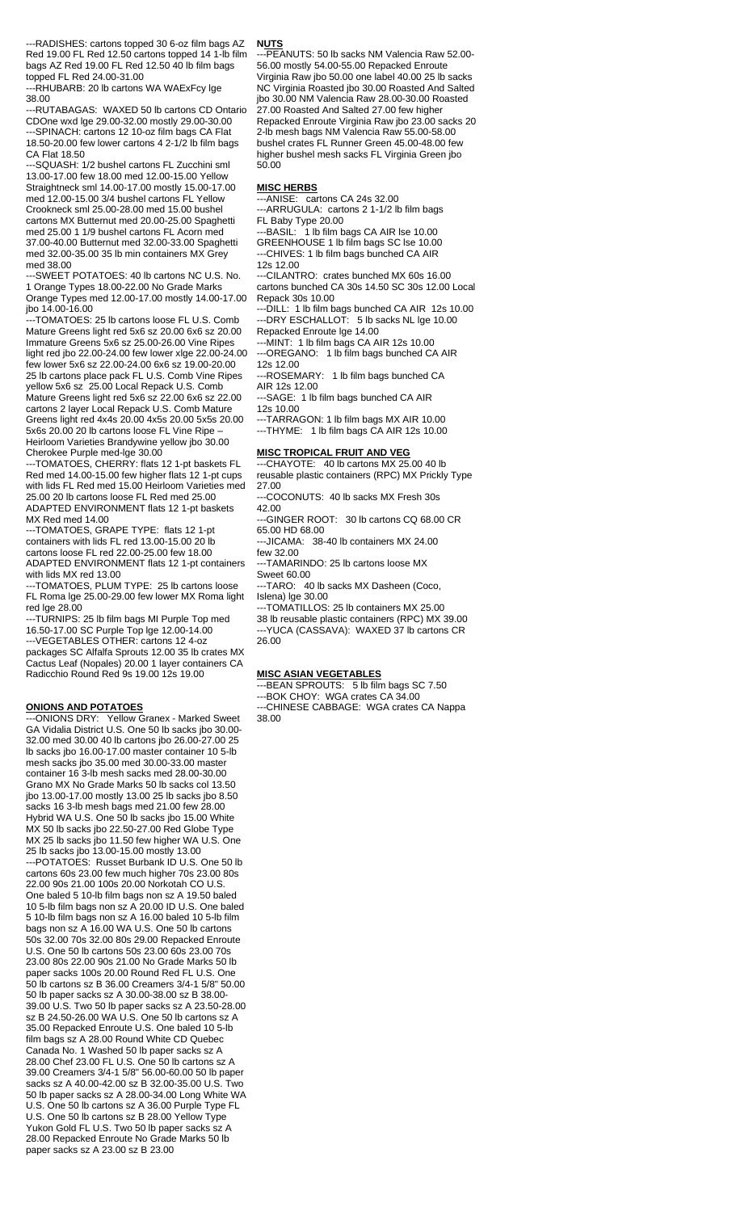---RADISHES: cartons topped 30 6-oz film bags AZ Red 19.00 FL Red 12.50 cartons topped 14 1-lb film bags AZ Red 19.00 FL Red 12.50 40 lb film bags topped FL Red 24.00-31.00

---RHUBARB: 20 lb cartons WA WAExFcy lge 38.00

---RUTABAGAS: WAXED 50 lb cartons CD Ontario CDOne wxd lge 29.00-32.00 mostly 29.00-30.00 ---SPINACH: cartons 12 10-oz film bags CA Flat 18.50-20.00 few lower cartons 4 2-1/2 lb film bags CA Flat 18.50

---SQUASH: 1/2 bushel cartons FL Zucchini sml 13.00-17.00 few 18.00 med 12.00-15.00 Yellow Straightneck sml 14.00-17.00 mostly 15.00-17.00 med 12.00-15.00 3/4 bushel cartons FL Yellow Crookneck sml 25.00-28.00 med 15.00 bushel cartons MX Butternut med 20.00-25.00 Spaghetti med 25.00 1 1/9 bushel cartons FL Acorn med 37.00-40.00 Butternut med 32.00-33.00 Spaghetti med 32.00-35.00 35 lb min containers MX Grey med 38.00

---SWEET POTATOES: 40 lb cartons NC U.S. No. 1 Orange Types 18.00-22.00 No Grade Marks Orange Types med 12.00-17.00 mostly 14.00-17.00 jbo 14.00-16.00

---TOMATOES: 25 lb cartons loose FL U.S. Comb Mature Greens light red 5x6 sz 20.00 6x6 sz 20.00 Immature Greens 5x6 sz 25.00-26.00 Vine Ripes light red jbo 22.00-24.00 few lower xlge 22.00-24.00 few lower 5x6 sz 22.00-24.00 6x6 sz 19.00-20.00 25 lb cartons place pack FL U.S. Comb Vine Ripes yellow 5x6 sz 25.00 Local Repack U.S. Comb Mature Greens light red 5x6 sz 22.00 6x6 sz 22.00 cartons 2 layer Local Repack U.S. Comb Mature Greens light red 4x4s 20.00 4x5s 20.00 5x5s 20.00 5x6s 20.00 20 lb cartons loose FL Vine Ripe – Heirloom Varieties Brandywine yellow jbo 30.00 Cherokee Purple med-lge 30.00

---TOMATOES, CHERRY: flats 12 1-pt baskets FL Red med 14.00-15.00 few higher flats 12 1-pt cups with lids FL Red med 15.00 Heirloom Varieties med 25.00 20 lb cartons loose FL Red med 25.00 ADAPTED ENVIRONMENT flats 12 1-pt baskets MX Red med 14.00

---TOMATOES, GRAPE TYPE: flats 12 1-pt containers with lids FL red 13.00-15.00 20 lb cartons loose FL red 22.00-25.00 few 18.00 ADAPTED ENVIRONMENT flats 12 1-pt containers with lids MX red 13.00

---TOMATOES, PLUM TYPE: 25 lb cartons loose FL Roma lge 25.00-29.00 few lower MX Roma light red lge 28.00

---TURNIPS: 25 lb film bags MI Purple Top med 16.50-17.00 SC Purple Top lge 12.00-14.00 ---VEGETABLES OTHER: cartons 12 4-oz packages SC Alfalfa Sprouts 12.00 35 lb crates MX Cactus Leaf (Nopales) 20.00 1 layer containers CA Radicchio Round Red 9s 19.00 12s 19.00

#### **ONIONS AND POTATOES**

---ONIONS DRY: Yellow Granex - Marked Sweet GA Vidalia District U.S. One 50 lb sacks jbo 30.00- 32.00 med 30.00 40 lb cartons jbo 26.00-27.00 25 lb sacks jbo 16.00-17.00 master container 10 5-lb mesh sacks jbo 35.00 med 30.00-33.00 master container 16 3-lb mesh sacks med 28.00-30.00 Grano MX No Grade Marks 50 lb sacks col 13.50 jbo 13.00-17.00 mostly 13.00 25 lb sacks jbo 8.50 sacks 16 3-lb mesh bags med 21.00 few 28.00 Hybrid WA U.S. One 50 lb sacks jbo 15.00 White MX 50 lb sacks jbo 22.50-27.00 Red Globe Type MX 25 lb sacks jbo 11.50 few higher WA U.S. One 25 lb sacks jbo 13.00-15.00 mostly 13.00 ---POTATOES: Russet Burbank ID U.S. One 50 lb cartons 60s 23.00 few much higher 70s 23.00 80s 22.00 90s 21.00 100s 20.00 Norkotah CO U.S. One baled 5 10-lb film bags non sz A 19.50 baled 10 5-lb film bags non sz A 20.00 ID U.S. One baled 5 10-lb film bags non sz A 16.00 baled 10 5-lb film bags non sz A 16.00 WA U.S. One 50 lb cartons 50s 32.00 70s 32.00 80s 29.00 Repacked Enroute U.S. One 50 lb cartons 50s 23.00 60s 23.00 70s 23.00 80s 22.00 90s 21.00 No Grade Marks 50 lb paper sacks 100s 20.00 Round Red FL U.S. One 50 lb cartons sz B 36.00 Creamers 3/4-1 5/8" 50.00 50 lb paper sacks sz A 30.00-38.00 sz B 38.00- 39.00 U.S. Two 50 lb paper sacks sz A 23.50-28.00 sz B 24.50-26.00 WA U.S. One 50 lb cartons sz A 35.00 Repacked Enroute U.S. One baled 10 5-lb film bags sz A 28.00 Round White CD Quebec Canada No. 1 Washed 50 lb paper sacks sz A 28.00 Chef 23.00 FL U.S. One 50 lb cartons sz A 39.00 Creamers 3/4-1 5/8" 56.00-60.00 50 lb paper sacks sz A 40.00-42.00 sz B 32.00-35.00 U.S. Two 50 lb paper sacks sz A 28.00-34.00 Long White WA U.S. One 50 lb cartons sz A 36.00 Purple Type FL U.S. One 50 lb cartons sz B 28.00 Yellow Type Yukon Gold FL U.S. Two 50 lb paper sacks sz A 28.00 Repacked Enroute No Grade Marks 50 lb paper sacks sz A 23.00 sz B 23.00

### **NUTS**

---PEANUTS: 50 lb sacks NM Valencia Raw 52.00- 56.00 mostly 54.00-55.00 Repacked Enroute Virginia Raw jbo 50.00 one label 40.00 25 lb sacks NC Virginia Roasted jbo 30.00 Roasted And Salted jbo 30.00 NM Valencia Raw 28.00-30.00 Roasted 27.00 Roasted And Salted 27.00 few higher Repacked Enroute Virginia Raw jbo 23.00 sacks 20 2-lb mesh bags NM Valencia Raw 55.00-58.00 bushel crates FL Runner Green 45.00-48.00 few higher bushel mesh sacks FL Virginia Green jbo 50.00

#### **MISC HERBS**

---ANISE: cartons CA 24s 32.00 -ARRUGULA: cartons 2 1-1/2 lb film bags

FL Baby Type 20.00

---BASIL: 1 lb film bags CA AIR lse 10.00 GREENHOUSE 1 lb film bags SC lse 10.00 -CHIVES: 1 lb film bags bunched CA AIR 12s 12.00

---CILANTRO: crates bunched MX 60s 16.00

cartons bunched CA 30s 14.50 SC 30s 12.00 Local Repack 30s 10.00

---DILL: 1 lb film bags bunched CA AIR 12s 10.00 ---DRY ESCHALLOT: 5 lb sacks NL lge 10.00 Repacked Enroute lge 14.00

-MINT: 1 lb film bags CA AIR 12s 10.00 ---OREGANO: 1 lb film bags bunched CA AIR

12s 12.00 --ROSEMARY: 1 lb film bags bunched CA

AIR 12s 12.00

---SAGE: 1 lb film bags bunched CA AIR

12s 10.00 ---TARRAGON: 1 lb film bags MX AIR 10.00

---THYME: 1 lb film bags CA AIR 12s 10.00

#### **MISC TROPICAL FRUIT AND VEG**

---CHAYOTE: 40 lb cartons MX 25.00 40 lb reusable plastic containers (RPC) MX Prickly Type 27.00

---COCONUTS: 40 lb sacks MX Fresh 30s 42.00

---GINGER ROOT: 30 lb cartons CQ 68.00 CR 65.00 HD 68.00

---JICAMA: 38-40 lb containers MX 24.00 few 32.00

---TAMARINDO: 25 lb cartons loose MX Sweet 60.00

---TARO: 40 lb sacks MX Dasheen (Coco, Islena) lge 30.00

---TOMATILLOS: 25 lb containers MX 25.00 38 lb reusable plastic containers (RPC) MX 39.00 ---YUCA (CASSAVA): WAXED 37 lb cartons CR 26.00

### **MISC ASIAN VEGETABLES**

---BEAN SPROUTS: 5 lb film bags SC 7.50

---BOK CHOY: WGA crates CA 34.00

---CHINESE CABBAGE: WGA crates CA Nappa 38.00